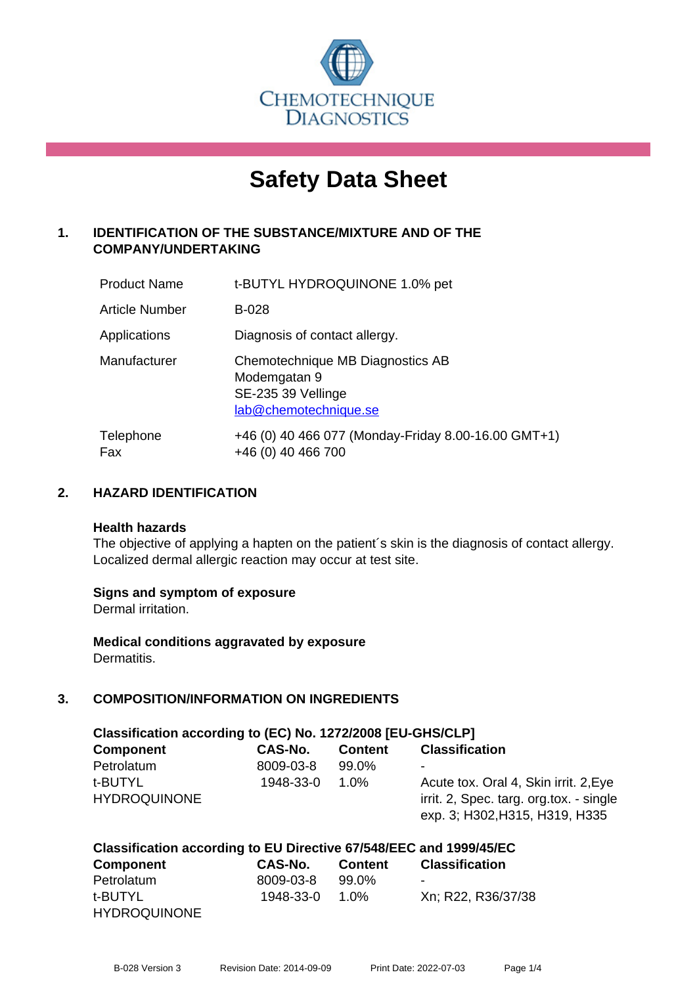

# **Safety Data Sheet**

# **1. IDENTIFICATION OF THE SUBSTANCE/MIXTURE AND OF THE COMPANY/UNDERTAKING**

| <b>Product Name</b>   | t-BUTYL HYDROQUINONE 1.0% pet                                                                   |
|-----------------------|-------------------------------------------------------------------------------------------------|
| <b>Article Number</b> | <b>B-028</b>                                                                                    |
| Applications          | Diagnosis of contact allergy.                                                                   |
| Manufacturer          | Chemotechnique MB Diagnostics AB<br>Modemgatan 9<br>SE-235 39 Vellinge<br>lab@chemotechnique.se |
| Telephone<br>Fax      | +46 (0) 40 466 077 (Monday-Friday 8.00-16.00 GMT+1)<br>+46 (0) 40 466 700                       |

# **2. HAZARD IDENTIFICATION**

#### **Health hazards**

The objective of applying a hapten on the patient's skin is the diagnosis of contact allergy. Localized dermal allergic reaction may occur at test site.

#### **Signs and symptom of exposure**

Dermal irritation.

**Medical conditions aggravated by exposure** Dermatitis.

#### **3. COMPOSITION/INFORMATION ON INGREDIENTS**

| Classification according to (EC) No. 1272/2008 [EU-GHS/CLP] |           |                |                                         |  |  |
|-------------------------------------------------------------|-----------|----------------|-----------------------------------------|--|--|
| <b>Component</b>                                            | CAS-No.   | <b>Content</b> | <b>Classification</b>                   |  |  |
| Petrolatum                                                  | 8009-03-8 | 99.0%          |                                         |  |  |
| t-BUTYL                                                     | 1948-33-0 | 1.0%           | Acute tox. Oral 4, Skin irrit. 2, Eye   |  |  |
| <b>HYDROQUINONE</b>                                         |           |                | irrit. 2, Spec. targ. org.tox. - single |  |  |
|                                                             |           |                | exp. 3; H302, H315, H319, H335          |  |  |

#### **Classification according to EU Directive 67/548/EEC and 1999/45/EC Component CAS-No. Content Classification** Petrolatum

| <u>Felivialum</u>   | ດບບສ-ບວ-ດ      | . ສສ.ບ /ດ |                    |
|---------------------|----------------|-----------|--------------------|
| t-BUTYL             | 1948-33-0 1.0% |           | Xn; R22, R36/37/38 |
| <b>HYDROQUINONE</b> |                |           |                    |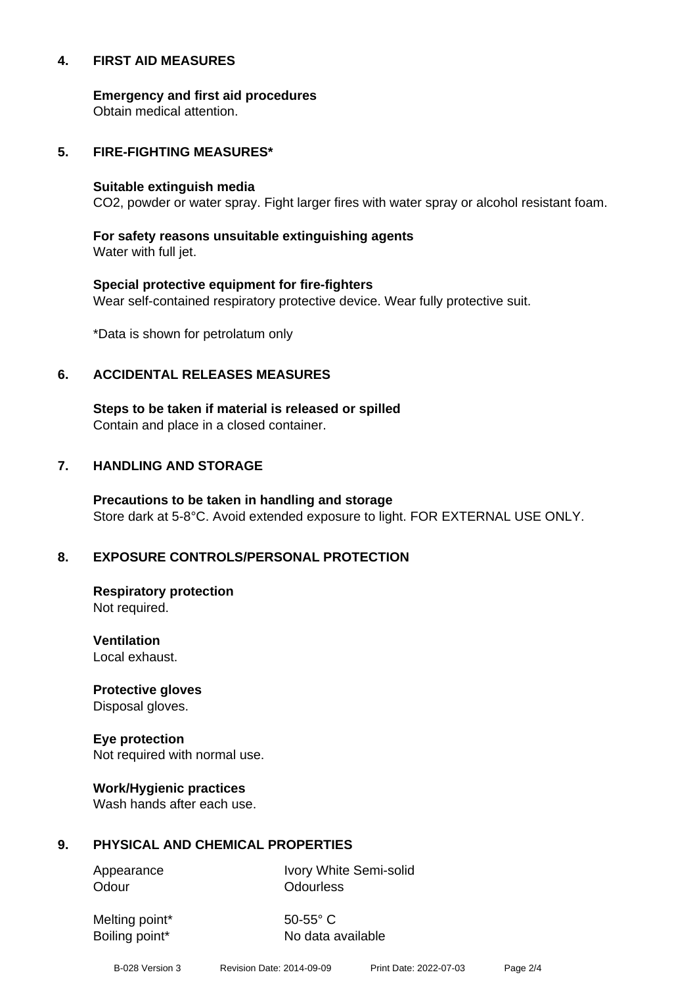#### **4. FIRST AID MEASURES**

**Emergency and first aid procedures**

Obtain medical attention.

#### **5. FIRE-FIGHTING MEASURES\***

#### **Suitable extinguish media**

CO2, powder or water spray. Fight larger fires with water spray or alcohol resistant foam.

# **For safety reasons unsuitable extinguishing agents**

Water with full jet.

# **Special protective equipment for fire-fighters** Wear self-contained respiratory protective device. Wear fully protective suit.

\*Data is shown for petrolatum only

# **6. ACCIDENTAL RELEASES MEASURES**

**Steps to be taken if material is released or spilled** Contain and place in a closed container.

# **7. HANDLING AND STORAGE**

**Precautions to be taken in handling and storage** Store dark at 5-8°C. Avoid extended exposure to light. FOR EXTERNAL USE ONLY.

# **8. EXPOSURE CONTROLS/PERSONAL PROTECTION**

**Respiratory protection** Not required.

**Ventilation** Local exhaust.

**Protective gloves** Disposal gloves.

# **Eye protection**

Not required with normal use.

#### **Work/Hygienic practices**

Wash hands after each use.

#### **9. PHYSICAL AND CHEMICAL PROPERTIES**

Odour **Odourless** 

Appearance Ivory White Semi-solid

Melting point\* 50-55° C

Boiling point\* No data available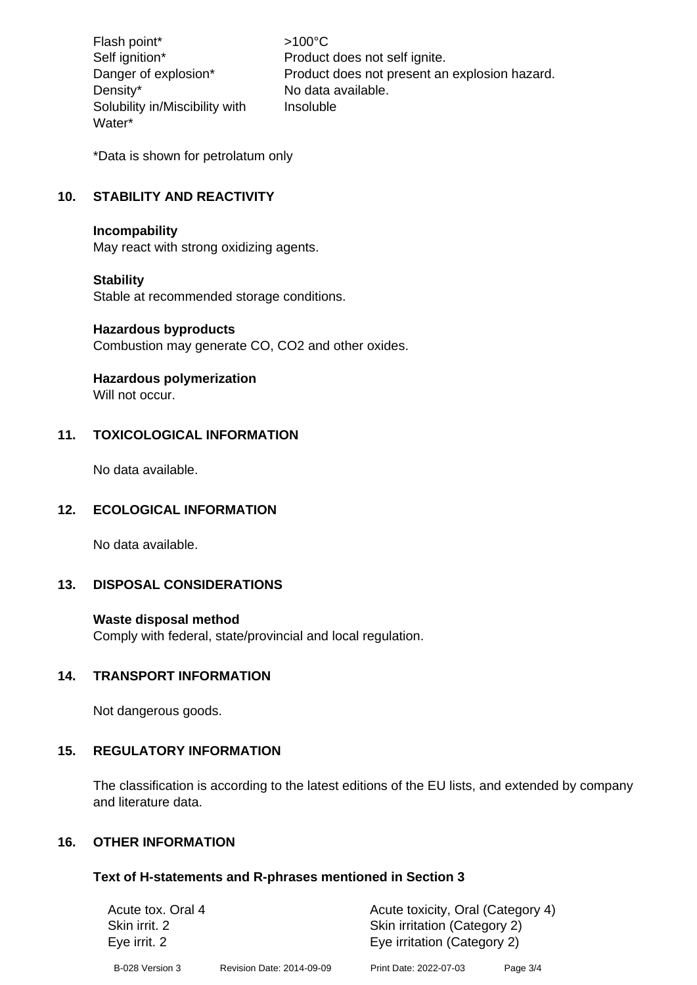Flash point\*  $>100^{\circ}$ C Density\* No data available. Solubility in/Miscibility with Water\*

Self ignition\* Product does not self ignite. Danger of explosion\* Product does not present an explosion hazard. Insoluble

\*Data is shown for petrolatum only

# **10. STABILITY AND REACTIVITY**

#### **Incompability**

May react with strong oxidizing agents.

#### **Stability**

Stable at recommended storage conditions.

#### **Hazardous byproducts**

Combustion may generate CO, CO2 and other oxides.

#### **Hazardous polymerization**

Will not occur.

# **11. TOXICOLOGICAL INFORMATION**

No data available.

#### **12. ECOLOGICAL INFORMATION**

No data available.

# **13. DISPOSAL CONSIDERATIONS**

#### **Waste disposal method**

Comply with federal, state/provincial and local regulation.

#### **14. TRANSPORT INFORMATION**

Not dangerous goods.

#### **15. REGULATORY INFORMATION**

The classification is according to the latest editions of the EU lists, and extended by company and literature data.

#### **16. OTHER INFORMATION**

#### **Text of H-statements and R-phrases mentioned in Section 3**

| Acute tox. Oral 4             |                           | Acute toxicity, Oral (Category 4)                           |          |  |
|-------------------------------|---------------------------|-------------------------------------------------------------|----------|--|
| Skin irrit. 2<br>Eye irrit. 2 |                           | Skin irritation (Category 2)<br>Eye irritation (Category 2) |          |  |
| B-028 Version 3               | Revision Date: 2014-09-09 | Print Date: 2022-07-03                                      | Page 3/4 |  |